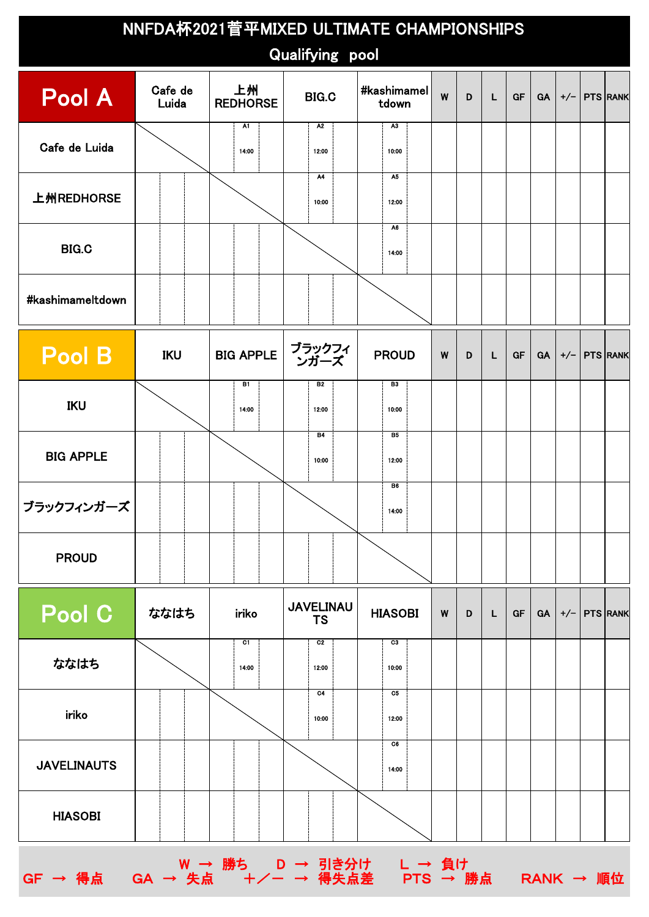| NNFDA杯2021菅平MIXED ULTIMATE CHAMPIONSHIPS<br><b>Qualifying pool</b> |                  |                                                               |                               |                         |   |   |           |           |           |                    |                  |  |
|--------------------------------------------------------------------|------------------|---------------------------------------------------------------|-------------------------------|-------------------------|---|---|-----------|-----------|-----------|--------------------|------------------|--|
| Pool A                                                             | Cafe de<br>Luida | 上州<br>#kashimamel<br><b>BIG.C</b><br><b>REDHORSE</b><br>tdown |                               | W                       | D | L | <b>GF</b> | <b>GA</b> |           | $+/-$   PTS   RANK |                  |  |
| Cafe de Luida                                                      | <b>BIG.C</b>     |                                                               | A2<br>12:00                   | A3<br>10:00             |   |   |           |           |           |                    |                  |  |
| 上州REDHORSE                                                         |                  |                                                               | A4<br>10:00                   | A5<br>12:00             |   |   |           |           |           |                    |                  |  |
|                                                                    |                  |                                                               |                               | A6<br>14:00             |   |   |           |           |           |                    |                  |  |
| #kashimameltdown                                                   |                  |                                                               |                               |                         |   |   |           |           |           |                    |                  |  |
| Pool B                                                             | IKU              | <b>BIG APPLE</b>                                              | ブラックフィ<br>ンガーズ                | <b>PROUD</b>            | W | D | L         | <b>GF</b> | <b>GA</b> | $+/-$              | <b>PTS RANK</b>  |  |
| <b>IKU</b>                                                         |                  | B1<br>14:00                                                   | B2<br>12:00                   | B <sub>3</sub><br>10:00 |   |   |           |           |           |                    |                  |  |
| <b>BIG APPLE</b>                                                   |                  |                                                               | <b>B4</b><br>10:00            | <b>B5</b><br>12:00      |   |   |           |           |           |                    |                  |  |
| ブラックフィンガーズ                                                         |                  |                                                               |                               | B <sub>6</sub><br>14:00 |   |   |           |           |           |                    |                  |  |
| <b>PROUD</b>                                                       |                  |                                                               |                               |                         |   |   |           |           |           |                    |                  |  |
| Pool C                                                             | ななはち             | iriko                                                         | <b>JAVELINAU</b><br><b>TS</b> | <b>HIASOBI</b>          | W | D | L.        | <b>GF</b> | GA        |                    | $+/-$   PTS RANK |  |
| ななはち                                                               |                  | C1<br>14:00                                                   | C2<br>12:00                   | C3<br>10:00             |   |   |           |           |           |                    |                  |  |
| iriko                                                              |                  |                                                               | C4<br>10:00                   | C5<br>12:00             |   |   |           |           |           |                    |                  |  |
| <b>JAVELINAUTS</b>                                                 |                  |                                                               |                               | C6<br>14:00             |   |   |           |           |           |                    |                  |  |
| <b>HIASOBI</b>                                                     |                  |                                                               |                               |                         |   |   |           |           |           |                    |                  |  |
| $GF \rightarrow \frac{4}{10}$ 点                                    |                  |                                                               |                               |                         |   |   |           |           |           |                    |                  |  |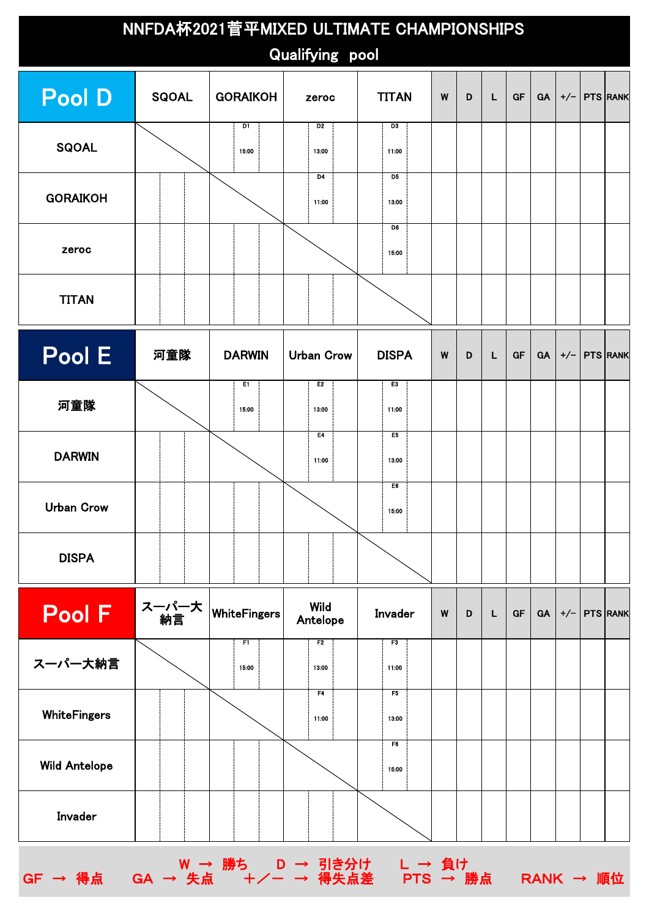| NNFDA杯2021菅平MIXED ULTIMATE CHAMPIONSHIPS<br>Qualifying pool |                                 |               |                         |                         |   |   |   |           |           |       |                 |  |
|-------------------------------------------------------------|---------------------------------|---------------|-------------------------|-------------------------|---|---|---|-----------|-----------|-------|-----------------|--|
| <b>Pool D</b>                                               | <b>SQOAL</b><br><b>GORAIKOH</b> |               | zeroc                   | <b>TITAN</b>            |   | D | L | <b>GF</b> | GA        | $+/-$ | <b>PTS RANK</b> |  |
| <b>SQOAL</b>                                                |                                 | D1<br>15:00   | D2<br>13:00             | D <sub>3</sub><br>11:00 |   |   |   |           |           |       |                 |  |
| <b>GORAIKOH</b>                                             |                                 |               | D <sub>4</sub><br>11:00 | D <sub>5</sub><br>13:00 |   |   |   |           |           |       |                 |  |
| zeroc                                                       |                                 |               |                         | D6<br>15:00             |   |   |   |           |           |       |                 |  |
| <b>TITAN</b>                                                |                                 |               |                         |                         |   |   |   |           |           |       |                 |  |
| Pool E                                                      | 河童隊                             | <b>DARWIN</b> | <b>Urban Crow</b>       | <b>DISPA</b>            | W | D | L | GF        | <b>GA</b> | $+/-$ | <b>PTS RANK</b> |  |
| 河童隊                                                         |                                 | E1<br>15:00   | E2<br>13:00             | E <sub>3</sub><br>11:00 |   |   |   |           |           |       |                 |  |
| <b>DARWIN</b>                                               |                                 |               | E4<br>11:00             | E5<br>13:00             |   |   |   |           |           |       |                 |  |
| <b>Urban Crow</b>                                           |                                 |               |                         | E6<br>15:00             |   |   |   |           |           |       |                 |  |
| <b>DISPA</b>                                                |                                 |               |                         |                         |   |   |   |           |           |       |                 |  |
| Pool F                                                      | ス一パ一大<br>納言                     | WhiteFingers  | Wild<br>Antelope        | Invader                 | W | D | L | GF        | <b>GA</b> |       | $+/-$ PTS RANK  |  |
| スーパー大納言                                                     |                                 | F1<br>15:00   | F <sub>2</sub><br>13:00 | F3<br>11:00             |   |   |   |           |           |       |                 |  |
| <b>WhiteFingers</b>                                         |                                 |               | F4<br>11:00             | F5<br>13:00             |   |   |   |           |           |       |                 |  |
| <b>Wild Antelope</b>                                        |                                 |               |                         | F6<br>15:00             |   |   |   |           |           |       |                 |  |
| Invader                                                     |                                 |               |                         |                         |   |   |   |           |           |       |                 |  |
| W → 勝ち D → 引き分け L → 負け                                      |                                 |               |                         |                         |   |   |   |           |           |       |                 |  |

GF → 得点 GA → 失点 +/- → 得失点差 PTS → 勝点 RANK → 順位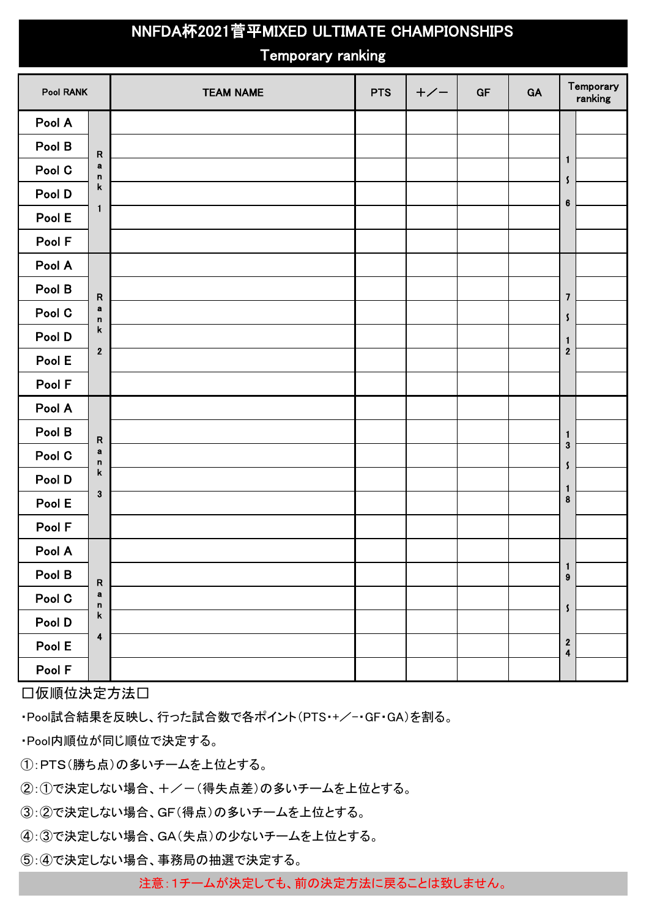## **NNFDA杯2021菅平MIXED ULTIMATE CHAMPIONSHIPS**

## Temporary ranking

| <b>Pool RANK</b> |                             | <b>TEAM NAME</b> | <b>PTS</b> | $+/-$ | GF | GA | Temporary<br>ranking                  |
|------------------|-----------------------------|------------------|------------|-------|----|----|---------------------------------------|
| Pool A           |                             |                  |            |       |    |    |                                       |
| Pool B           | ${\sf R}$                   |                  |            |       |    |    |                                       |
| Pool C           | $\mathbf a$<br>$\mathbf n$  |                  |            |       |    |    | $\mathbf{1}$<br>$\pmb{\mathsf{s}}$    |
| Pool D           | k                           |                  |            |       |    |    | $\bf 6$                               |
| Pool E           | $\mathbf{1}$                |                  |            |       |    |    |                                       |
| Pool F           |                             |                  |            |       |    |    |                                       |
| Pool A           |                             |                  |            |       |    |    |                                       |
| Pool B           | ${\sf R}$                   |                  |            |       |    |    | $\overline{\mathbf{z}}$               |
| Pool C           | $\mathbf a$<br>$\mathsf{n}$ |                  |            |       |    |    | $\boldsymbol{\mathsf{s}}$             |
| Pool D           | k                           |                  |            |       |    |    | $\mathbf{1}$                          |
| Pool E           | $\boldsymbol{2}$            |                  |            |       |    |    | $\bf 2$                               |
| Pool F           |                             |                  |            |       |    |    |                                       |
| Pool A           |                             |                  |            |       |    |    |                                       |
| Pool B           | ${\sf R}$                   |                  |            |       |    |    | $\mathbf{1}$                          |
| Pool C           | $\mathbf a$<br>$\mathsf{n}$ |                  |            |       |    |    | $\bf 3$<br>$\boldsymbol{\mathsf{s}}$  |
| Pool D           | k                           |                  |            |       |    |    | $\mathbf{1}$                          |
| Pool E           | $\mathbf{3}$                |                  |            |       |    |    | 8                                     |
| Pool F           |                             |                  |            |       |    |    |                                       |
| Pool A           |                             |                  |            |       |    |    |                                       |
| Pool B           | ${\sf R}$                   |                  |            |       |    |    | $\begin{array}{c} 1 \\ 9 \end{array}$ |
| Pool C           | a<br>$\mathsf n$            |                  |            |       |    |    | $\pmb{\zeta}$                         |
| Pool D           | $\mathbf k$                 |                  |            |       |    |    |                                       |
| Pool E           | $\overline{\mathbf{4}}$     |                  |            |       |    |    | $\frac{2}{4}$                         |
| Pool F           |                             |                  |            |       |    |    |                                       |

□仮順位決定方法□

・Pool試合結果を反映し、行った試合数で各ポイント(PTS・+/-GF・GA)を割る。

・Pool内順位が同じ順位で決定する。

①:PTS(勝ち点)の多いチームを上位とする。

②:①で決定しない場合、+/-(得失点差)の多いチームを上位とする。

③:②で決定しない場合、GF(得点)の多いチームを上位とする。

④:③で決定しない場合、GA(失点)の少ないチームを上位とする。

⑤:④で決定しない場合、事務局の抽選で決定する。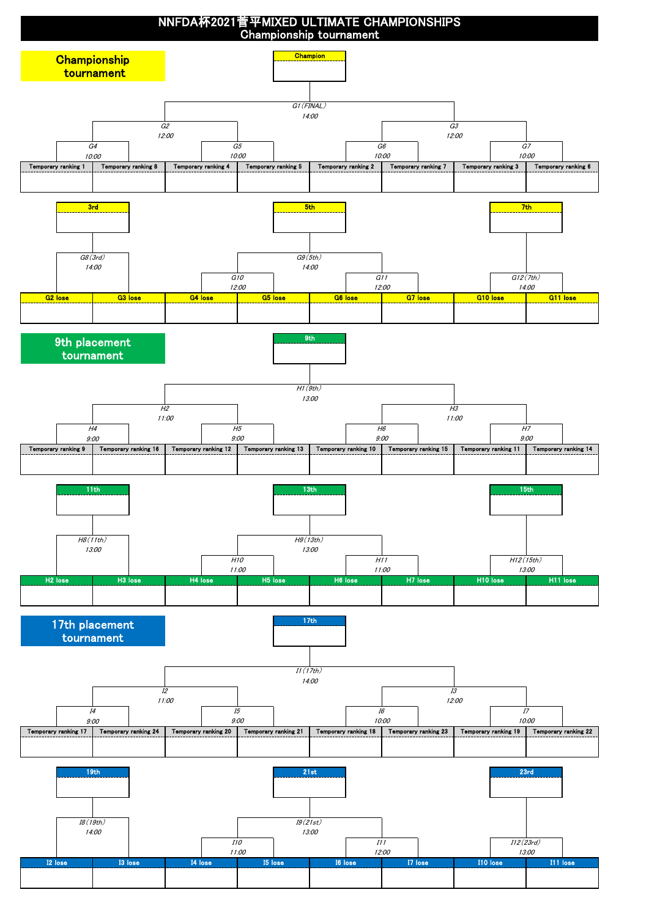

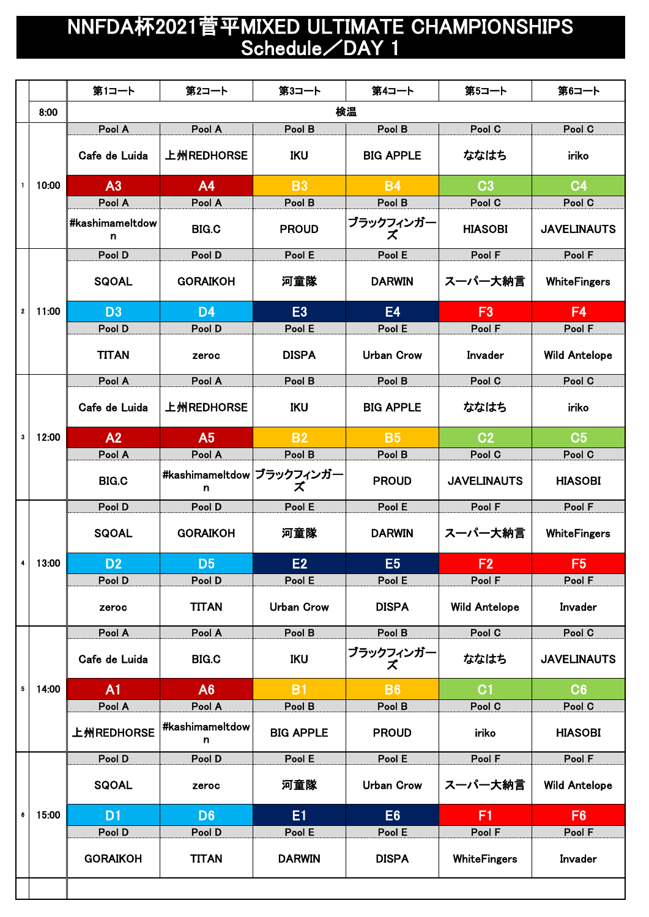## NNFDA杯2021菅平MIXED ULTIMATE CHAMPIONSHIPS Schedule/DAY 1

|              |                           | 第1コート                | 第2コート                          | 第3コート             | 第4コート                                | 第5コート               | 第6コート                                                                                                                         |  |  |  |
|--------------|---------------------------|----------------------|--------------------------------|-------------------|--------------------------------------|---------------------|-------------------------------------------------------------------------------------------------------------------------------|--|--|--|
|              | 8:00                      |                      |                                |                   | 検温                                   |                     |                                                                                                                               |  |  |  |
|              |                           | Pool A               | Pool A                         | Pool B            | Pool B                               | Pool C              | Pool C                                                                                                                        |  |  |  |
|              |                           | Cafe de Luida        | 上州REDHORSE                     | <b>IKU</b>        | <b>BIG APPLE</b>                     | ななはち                | iriko                                                                                                                         |  |  |  |
| $\mathbf{1}$ | 10:00                     | A <sub>3</sub>       | A <sub>4</sub>                 | <b>B3</b>         | <b>B4</b>                            | C <sub>3</sub>      | C <sub>4</sub>                                                                                                                |  |  |  |
|              |                           | Pool A               | Pool A                         | Pool B            | Pool B                               | Pool C              | Pool C                                                                                                                        |  |  |  |
|              |                           | #kashimameltdow<br>n | <b>BIG.C</b>                   | <b>PROUD</b>      | ブラックフィンガー<br>ズ                       | <b>HIASOBI</b>      | <b>JAVELINAUTS</b>                                                                                                            |  |  |  |
|              |                           | Pool D               | Pool D                         | Pool E            | Pool E                               | Pool F              | Pool F                                                                                                                        |  |  |  |
|              |                           | <b>SQOAL</b>         | <b>GORAIKOH</b>                | 河童隊               | <b>DARWIN</b>                        | スーパー大納言             | WhiteFingers                                                                                                                  |  |  |  |
| $\mathbf{2}$ | 11:00<br>12:00<br>4 13:00 | D <sub>3</sub>       | D <sub>4</sub>                 | E <sub>3</sub>    | <b>E4</b>                            | F3                  | F <sub>4</sub>                                                                                                                |  |  |  |
|              |                           | Pool D               | Pool D                         | Pool E            | Pool E                               | Pool F              | Pool F                                                                                                                        |  |  |  |
|              |                           | <b>TITAN</b>         | zeroc                          | <b>DISPA</b>      | <b>Urban Crow</b>                    | Invader             | <b>Wild Antelope</b>                                                                                                          |  |  |  |
|              |                           | Pool A               | Pool A                         | Pool B            | Pool B                               | Pool C              | Pool C                                                                                                                        |  |  |  |
|              |                           | Cafe de Luida        | 上州REDHORSE                     | <b>IKU</b>        | <b>BIG APPLE</b>                     | ななはち                | iriko                                                                                                                         |  |  |  |
| $\mathbf{3}$ |                           | A2                   | A <sub>5</sub>                 | <b>B2</b>         | <b>B5</b>                            | C <sub>2</sub>      | C <sub>5</sub>                                                                                                                |  |  |  |
|              |                           | Pool A               | Pool A                         | Pool B            | Pool B                               | Pool C              | Pool C                                                                                                                        |  |  |  |
|              |                           | <b>BIG.C</b>         | #kashimameltdow ブラックフィンガー<br>n | ズ                 | <b>PROUD</b>                         | <b>JAVELINAUTS</b>  | <b>HIASOBI</b>                                                                                                                |  |  |  |
|              |                           | Pool D               | Pool D                         | Pool E            | Pool E                               | Pool F              | Pool F                                                                                                                        |  |  |  |
|              |                           | <b>SQOAL</b>         | <b>GORAIKOH</b>                | 河童隊               | <b>DARWIN</b>                        | スーパー大納言             | WhiteFingers                                                                                                                  |  |  |  |
|              |                           | D <sub>2</sub>       | <b>D5</b>                      | E2                | E <sub>5</sub>                       | F2                  | <b>F5</b>                                                                                                                     |  |  |  |
|              |                           | Pool D               | Pool D                         | Pool E            | Pool E                               | Pool F              | Pool F                                                                                                                        |  |  |  |
|              |                           | zeroc                | <b>TITAN</b>                   | <b>Urban Crow</b> | <b>DISPA</b><br><b>Wild Antelope</b> |                     | Invader                                                                                                                       |  |  |  |
|              |                           | Pool A               | Pool A                         | Pool B            | Pool B                               | Pool C              | Pool C                                                                                                                        |  |  |  |
|              |                           | Cafe de Luida        | <b>BIG.C</b>                   | IKU               | ブラックフィンガー<br>ズ                       | ななはち                | <b>JAVELINAUTS</b><br>C6<br>Pool C<br><b>HIASOBI</b><br>Pool F<br><b>Wild Antelope</b><br>F <sub>6</sub><br>Pool F<br>Invader |  |  |  |
| 5            | 14:00                     | A1                   | A6                             | <b>B1</b>         | <b>B6</b>                            | C <sub>1</sub>      |                                                                                                                               |  |  |  |
|              |                           | Pool A               | Pool A                         | Pool B            | Pool B                               | Pool C              |                                                                                                                               |  |  |  |
|              |                           | 上州REDHORSE           | #kashimameltdow<br>n.          | <b>BIG APPLE</b>  | <b>PROUD</b>                         | iriko               |                                                                                                                               |  |  |  |
|              |                           | Pool D               | Pool D                         | Pool E            | Pool E                               | Pool F              |                                                                                                                               |  |  |  |
|              |                           | <b>SQOAL</b>         | zeroc                          | 河童隊               | <b>Urban Crow</b>                    | スーパー大納言             |                                                                                                                               |  |  |  |
| 6            | 15:00                     | D <sub>1</sub>       | D <sub>6</sub>                 | E1                | E <sub>6</sub>                       | F1                  |                                                                                                                               |  |  |  |
|              |                           | Pool D               | Pool D                         | Pool E            | Pool E                               | Pool F              |                                                                                                                               |  |  |  |
|              |                           | <b>GORAIKOH</b>      | <b>TITAN</b>                   | <b>DARWIN</b>     | <b>DISPA</b>                         | <b>WhiteFingers</b> |                                                                                                                               |  |  |  |
|              |                           |                      |                                |                   |                                      |                     |                                                                                                                               |  |  |  |